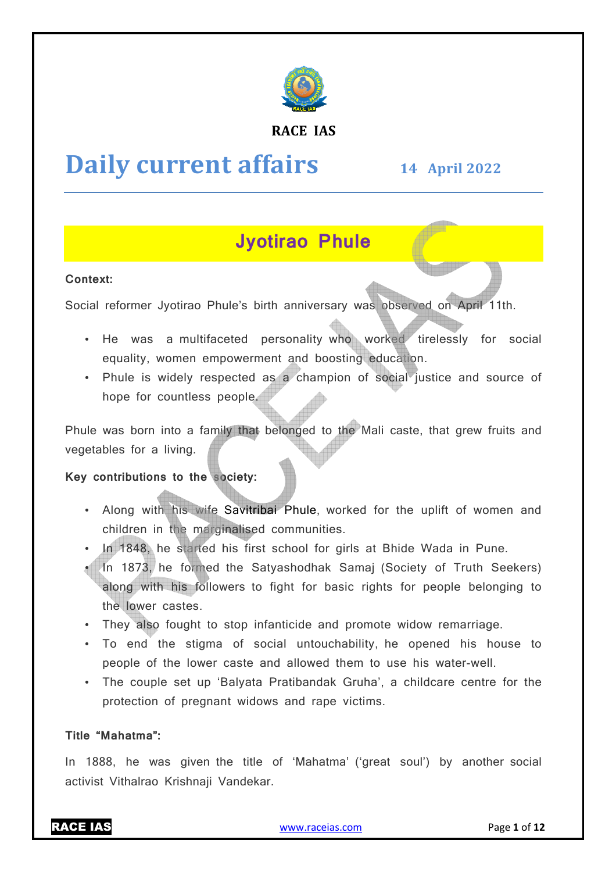

# **RACE IAS**

# **Daily current affairs**

# **14 April April 2022**

# **Jyotirao Phule**

# **Context:**

Social reformer Jyotirao Phule's birth anniversary was observed on April 11th.

- He was a multifaceted personality who worked tirelessly for social equality, women empowerment and boosting education.
- Phule is widely respected as a champion of social justice and source of hope for countless people.

Phule was born into a family that belonged to the Mali caste, that grew fruits and vegetables for a living.

### **Key contributions to the society:**

- Along with his wife Savitribai Phule, worked for the uplift of women and children in the marginalised communities.
- In 1848, he started his first school for girls at Bhide Wada in Pune.
- In 1873, he formed the Satyashodhak Samaj (Society of Truth Seekers) along with his followers to fight for basic rights for people belonging to the lower castes.
- They also fought to stop infanticide and promote widow remarriage.
- To end the stigma of social untouchability, he opened his house to people of the lower caste and allowed them to use his water water-well.
- The couple set up 'Balyata Pratibandak Gruha', a childcare centre for the protection of pregnant widows and rape victims. In 1888, he was given the title of 'Mahatma' ('great soul') by another social<br>In 1888, he was given the title of 'Mahatma' ('great soul') by another social

# **Title "Mahatma":**

activist Vithalrao Krishnaji Vandekar.

RACE IAS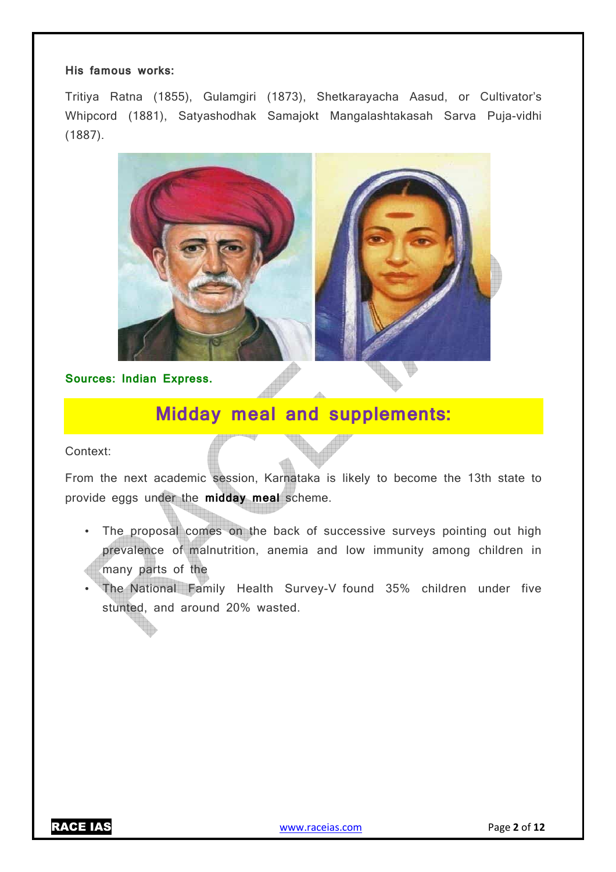#### **His famous works:**

Tritiya Ratna (1855), Gulamgiri (1873), Shetkarayacha Aasud, or Cultivator's Whipcord (1881), Satyashodhak Samajokt Mangalashtakasah Sarva Puja-vidhi (1887).



**Sources: Indian Express.**

# **Midday meal and supplements:**

Context:

From the next academic session, Karnataka is likely to become the 13th state to provide eggs under the **midday meal** scheme.

- The proposal comes on the back of successive surveys pointing out high prevalence of malnutrition, anemia and low immunity among children in many parts of the
- The National Family Health Survey-V found 35% children under five stunted, and around 20% wasted.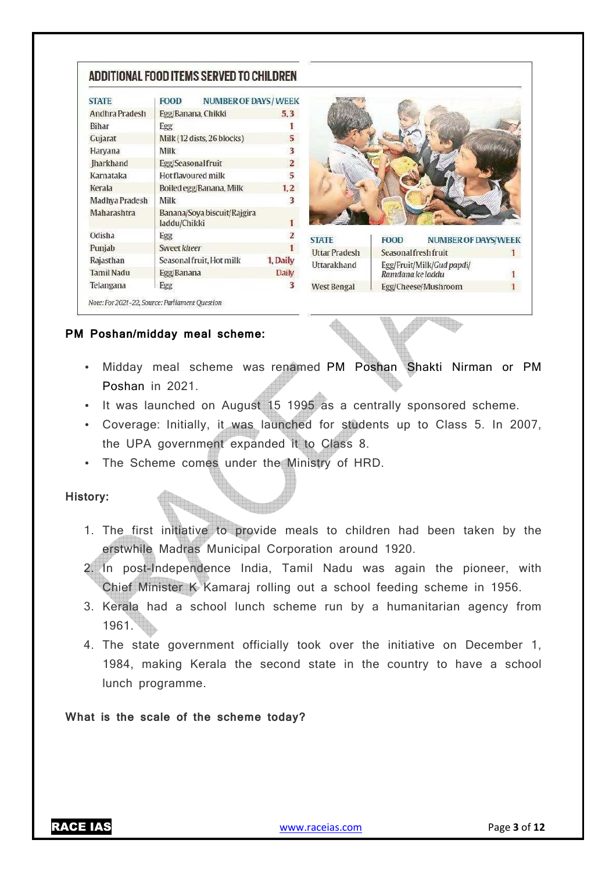# ADDITIONAL FOOD ITEMS SERVED TO CHILDREN

| <b>STATE</b>       | <b>FOOD</b>                                      | <b>NUMBER OF DAYS / WEEK</b> |                |
|--------------------|--------------------------------------------------|------------------------------|----------------|
| Andhra Pradesh     | Egg/Banana, Chikki                               |                              | 5.3            |
| Bihar              | Egg                                              |                              |                |
| Gujarat            | Milk (12 dists, 26 blocks)                       |                              | 5              |
| Haryana            | Milk                                             |                              | 3              |
| <b>Iharkhand</b>   | Egg/Seasonal fruit                               |                              | $\mathbf{2}$   |
| Karnataka          | Hot flavoured milk                               |                              | 5              |
| Kerala             | Boiled egg/Banana, Milk                          |                              | 1,2            |
| Madhya Pradesh     | Milk                                             |                              | 3              |
| <b>Maharashtra</b> | Banana/Soya biscuit/Rajgira<br>1<br>laddu/Chikki |                              |                |
| Odisha             | Egg                                              |                              | $\overline{2}$ |
| Punjab             | Sweet kheer                                      |                              | 1              |
| Rajasthan          | Seasonal fruit, Hot milk                         |                              | 1, Daily       |
| <b>Tamil Nadu</b>  | Egg/Banana                                       |                              | Daily          |
| Telangana          | Egg                                              |                              | 3              |



**STATE FOOD NUMBER OF DAYS/WEEK Uttar Pradesh** Seasonal fresh fruit  $\mathbf{1}$ Uttarakhand Egg/Fruit/Milk/Gud papdi/ Ramdana ke laddu 1 **West Bengal** Egg/Cheese/Mushroom  $\mathbf{I}$ 

# **PM Poshan/midday meal scheme:**

- Midday meal scheme was renamed PM Poshan Shakti Nirman or PM Poshan in 2021.
- It was launched on August 15 1995 as a centrally sponsored scheme.
- Coverage: Initially, it was launched for students up to Class 5. In 2007, the UPA government expanded it to Class 8.
- The Scheme comes under the Ministry of HRD.

# **History:**

- 1. The first initiative to provide meals to children had been taken by the erstwhile Madras Municipal Corporation around 1920.
- 2. In post-Independence India, Tamil Nadu was again the pioneer, with Chief Minister K Kamaraj rolling out a school feeding scheme in 1956.
- 3. Kerala had a school lunch scheme run by a humanitarian agency from 1961.
- 4. The state government officially took over the initiative on December 1, 1984, making Kerala the second state in the country to have a school lunch programme.

**What is the scale of the scheme today?**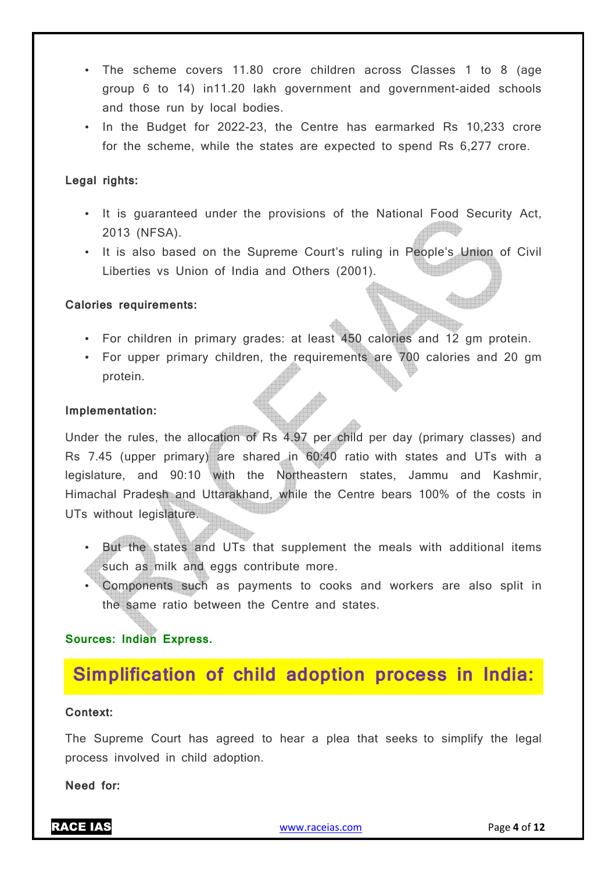- The scheme covers 11.80 crore children across Classes 1 to 8 (age group 6 to 14) in11.20 lakh government and government-aided schools and those run by local bodies.
- In the Budget for 2022-23, the Centre has earmarked Rs 10,233 crore for the scheme, while the states are expected to spend Rs 6,277 crore.

### **Legal rights:**

- It is guaranteed under the provisions of the National Food Security Act, 2013 (NFSA).
- It is also based on the Supreme Court's ruling in People's Union of Civil Liberties vs Union of India and Others (2001).

# **Calories requirements:**

- For children in primary grades: at least 450 calories and 12 gm protein.
- For upper primary children, the requirements are 700 calories and 20 gm protein.

### **Implementation:**

Under the rules, the allocation of Rs 4.97 per child per day (primary classes) and Rs 7.45 (upper primary) are shared in 60:40 ratio with states and UTs with a legislature, and 90:10 with the Northeastern states, Jammu and Kashmir, Himachal Pradesh and Uttarakhand, while the Centre bears 100% of the costs in UTs without legislature.

- But the states and UTs that supplement the meals with additional items such as milk and eggs contribute more.
- Components such as payments to cooks and workers are also split in the same ratio between the Centre and states.

# **Sources: Indian Express.**

# **Simplification of child adoption process in India:**

### **Context:**

The Supreme Court has agreed to hear a plea that seeks to simplify the legal process involved in child adoption.

**Need for:**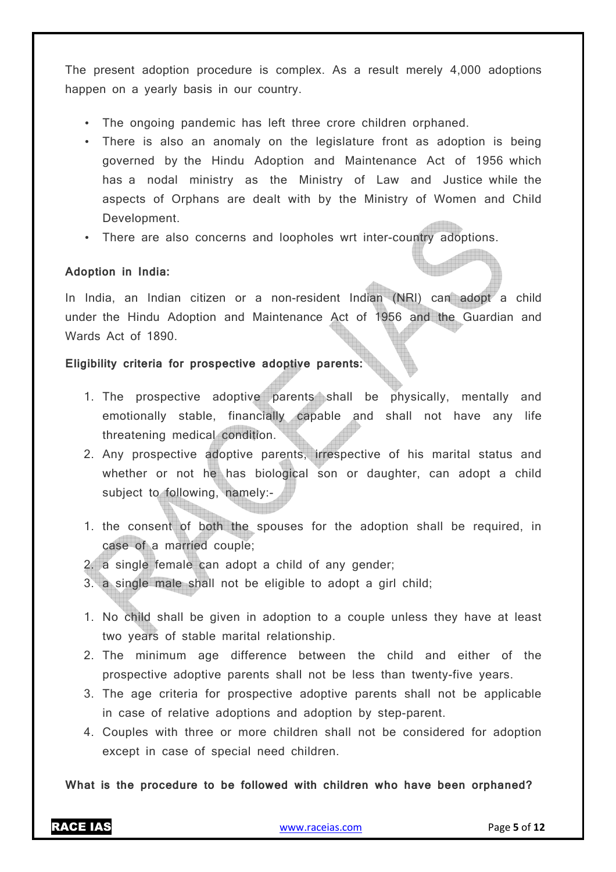The present adoption procedure is complex. As a result merely 4,000 adoptions happen on a yearly basis in our country.

- The ongoing pandemic has left three crore children orphaned.
- There is also an anomaly on the legislature front as adoption is being governed by the Hindu Adoption and Maintenance Act of 1956 which has a nodal ministry as the Ministry of Law and Justice while the aspects of Orphans are dealt with by the Ministry of Women and Child Development.
- There are also concerns and loopholes wrt inter-country adoptions.

# **Adoption in India:**

In India, an Indian citizen or a non-resident Indian (NRI) can adopt a child under the Hindu Adoption and Maintenance Act of 1956 and the Guardian and Wards Act of 1890.

### **Eligibility criteria for prospective adoptive parents:**

- 1. The prospective adoptive parents shall be physically, mentally and emotionally stable, financially capable and shall not have any life threatening medical condition.
- 2. Any prospective adoptive parents, irrespective of his marital status and whether or not he has biological son or daughter, can adopt a child subject to following, namely:-
- 1. the consent of both the spouses for the adoption shall be required, in case of a married couple;
- 2. a single female can adopt a child of any gender;
- 3. a single male shall not be eligible to adopt a girl child;
- 1. No child shall be given in adoption to a couple unless they have at least two years of stable marital relationship.
- 2. The minimum age difference between the child and either of the prospective adoptive parents shall not be less than twenty-five years.
- 3. The age criteria for prospective adoptive parents shall not be applicable in case of relative adoptions and adoption by step-parent.
- 4. Couples with three or more children shall not be considered for adoption except in case of special need children.

**What is the procedure to be followed with children who have been orphaned?**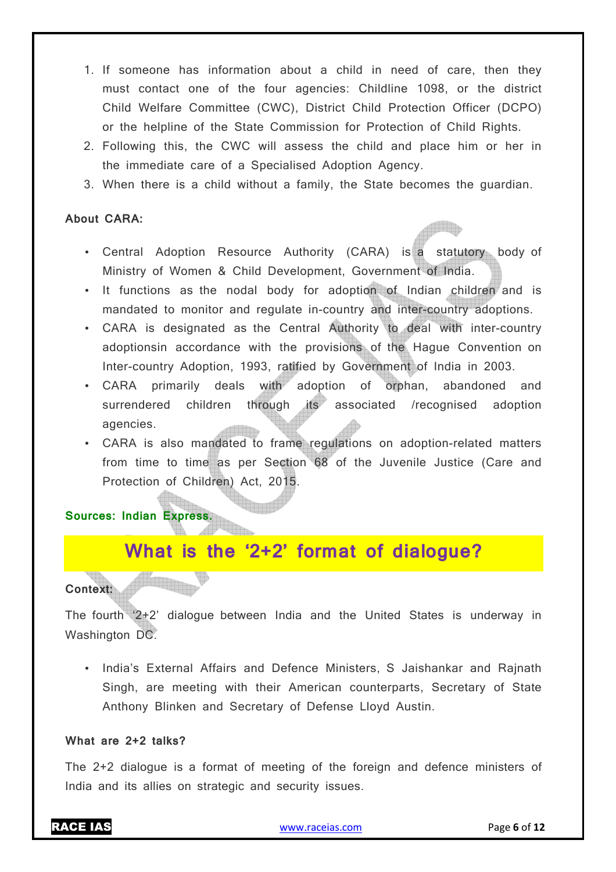- 1. If someone has information about a child in need of care, then they must contact one of the four agencies: Childline 1098, or the district Child Welfare Committee (CWC), District Child Protection Officer (DCPO) or the helpline of the State Commission for Protection of Child Rights.
- 2. Following this, the CWC will assess the child and place him or her in the immediate care of a Specialised Adoption Agency.
- 3. When there is a child without a family, the State becomes the guardian.

# **About CARA:**

- Central Adoption Resource Authority (CARA) is a statutory body of Ministry of Women & Child Development, Government of India.
- It functions as the nodal body for adoption of Indian children and is mandated to monitor and regulate in-country and inter-country adoptions.
- CARA is designated as the Central Authority to deal with inter-country adoptionsin accordance with the provisions of the Hague Convention on Inter-country Adoption, 1993, ratified by Government of India in 2003.
- CARA primarily deals with adoption of orphan, abandoned and surrendered children through its associated /recognised adoption agencies.
- CARA is also mandated to frame regulations on adoption-related matters from time to time as per Section 68 of the Juvenile Justice (Care and Protection of Children) Act, 2015.

**Sources: Indian Express.**

# **What is the '2+2' format of dialogue?**

# **Context:**

The fourth '2+2' dialogue between India and the United States is underway in Washington DC.

• India's External Affairs and Defence Ministers, S Jaishankar and Rajnath Singh, are meeting with their American counterparts, Secretary of State Anthony Blinken and Secretary of Defense Lloyd Austin.

# **What are 2+2 talks?**

The 2+2 dialogue is a format of meeting of the foreign and defence ministers of India and its allies on strategic and security issues.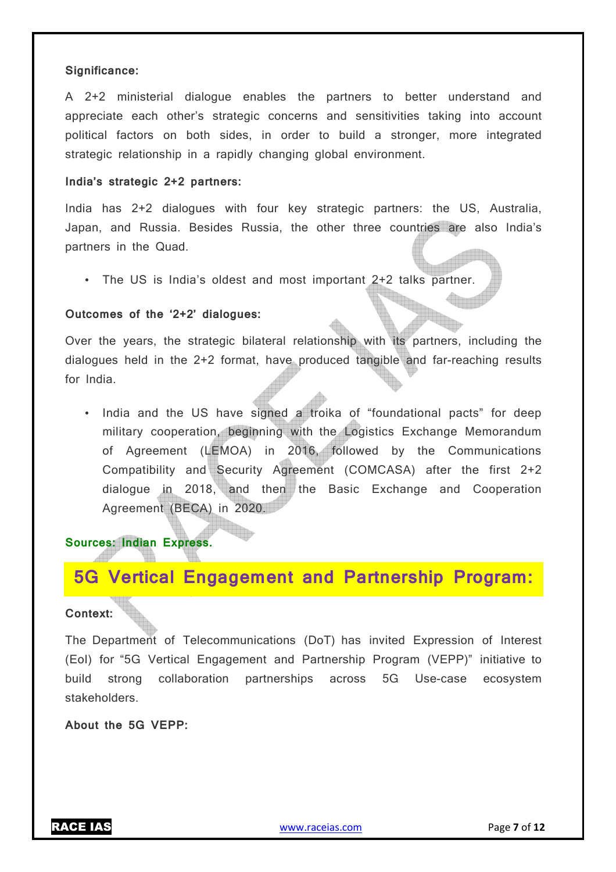#### **Significance:**

A 2+2 ministerial dialogue enables the partners to better understand and appreciate each other's strategic concerns and sensitivities taking into account political factors on both sides, in order to build a stronger, more integrated strategic relationship in a rapidly changing global environment.

#### **India's strategic 2+2 partners:**

India has 2+2 dialogues with four key strategic partners: the US, Australia, Japan, and Russia. Besides Russia, the other three countries are also India's partners in the Quad.

• The US is India's oldest and most important 2+2 talks partner.

#### **Outcomes of the '2+2' dialogues:**

Over the years, the strategic bilateral relationship with its partners, including the dialogues held in the 2+2 format, have produced tangible and far-reaching results for India.

• India and the US have signed a troika of "foundational pacts" for deep military cooperation, beginning with the Logistics Exchange Memorandum of Agreement (LEMOA) in 2016, followed by the Communications Compatibility and Security Agreement (COMCASA) after the first 2+2 dialogue in 2018, and then the Basic Exchange and Cooperation Agreement (BECA) in 2020.

# **Sources: Indian Express.**

# **5G Vertical Engagement and Partnership Program:**

#### **Context:**

The Department of Telecommunications (DoT) has invited Expression of Interest (EoI) for "5G Vertical Engagement and Partnership Program (VEPP)" initiative to build strong collaboration partnerships across 5G Use-case ecosystem stakeholders.

**About the 5G VEPP:**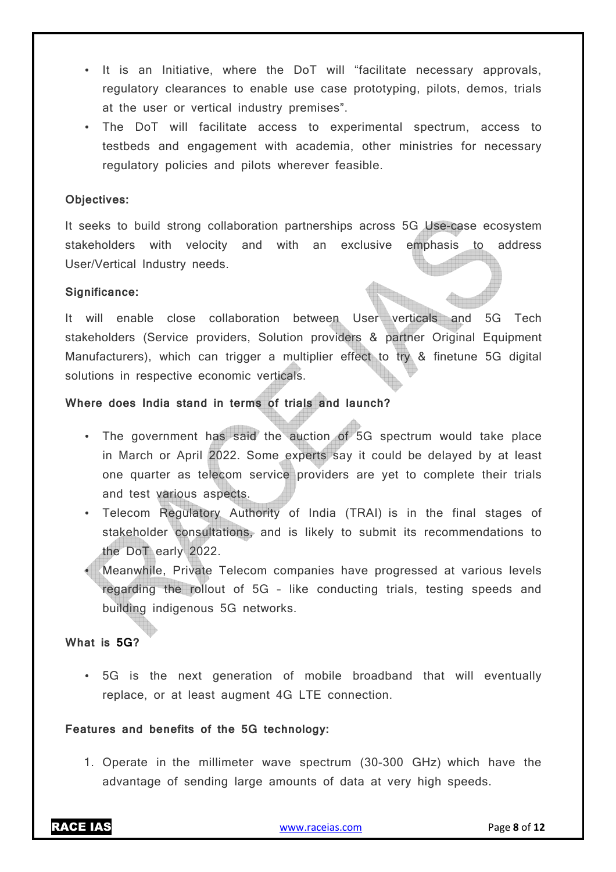- It is an Initiative, where the DoT will "facilitate necessary approvals, regulatory clearances to enable use case prototyping, pilots, demos, trials at the user or vertical industry premises".
- The DoT will facilitate access to experimental spectrum, access to testbeds and engagement with academia, other ministries for necessary regulatory policies and pilots wherever feasible.

### **Objectives:**

It seeks to build strong collaboration partnerships across 5G Use-case ecosystem stakeholders with velocity and with an exclusive emphasis to address User/Vertical Industry needs.

#### **Significance:**

It will enable close collaboration between User verticals and 5G Tech stakeholders (Service providers, Solution providers & partner Original Equipment Manufacturers), which can trigger a multiplier effect to try & finetune 5G digital solutions in respective economic verticals.

# **Where does India stand in terms of trials and launch?**

- The government has said the auction of 5G spectrum would take place in March or April 2022. Some experts say it could be delayed by at least one quarter as telecom service providers are yet to complete their trials and test various aspects.
- Telecom Regulatory Authority of India (TRAI) is in the final stages of stakeholder consultations, and is likely to submit its recommendations to the DoT early 2022.
- Meanwhile, Private Telecom companies have progressed at various levels regarding the rollout of 5G – like conducting trials, testing speeds and building indigenous 5G networks.

### **What is 5G?**

• 5G is the next generation of mobile broadband that will eventually replace, or at least augment 4G LTE connection.

### **Features and benefits of the 5G technology:**

1. Operate in the millimeter wave spectrum (30-300 GHz) which have the advantage of sending large amounts of data at very high speeds.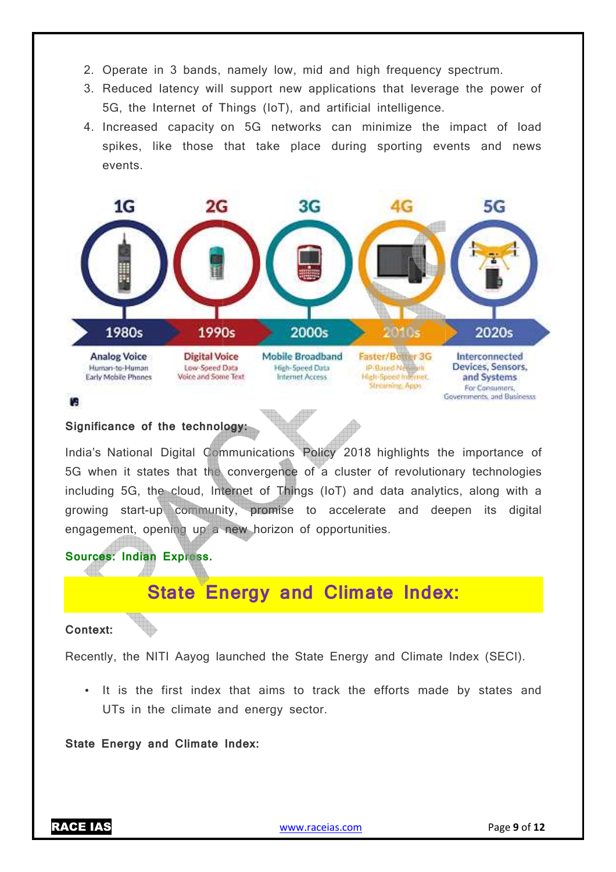- 2. Operate in 3 bands, namely low, mid and high frequency spectrum.
- 3. Reduced latency will support new applications that leverage the power of 5G, the Internet of Things (IoT), and artificial intelligence.
- 4. Increased capacity on 5G networks can minimize the impact of load spikes, like those that take place during sporting events and news events.



#### **Significance of the technology:**

India's National Digital Communications Policy 2018 highlights the importance of 5G when it states that the convergence of a cluster of revolutionary technologies including 5G, the cloud, Internet of Things (IoT) and data analytics, along with a growing start-up community, promise to accelerate and deepen its digital engagement, opening up a new horizon of opportunities.

# **Sources: Indian Express.**

# **State Energy and Climate Index:**

#### **Context:**

Recently, the NITI Aayog launched the State Energy and Climate Index (SECI).

• It is the first index that aims to track the efforts made by states and UTs in the climate and energy sector.

**State Energy and Climate Index:**

RACE IAS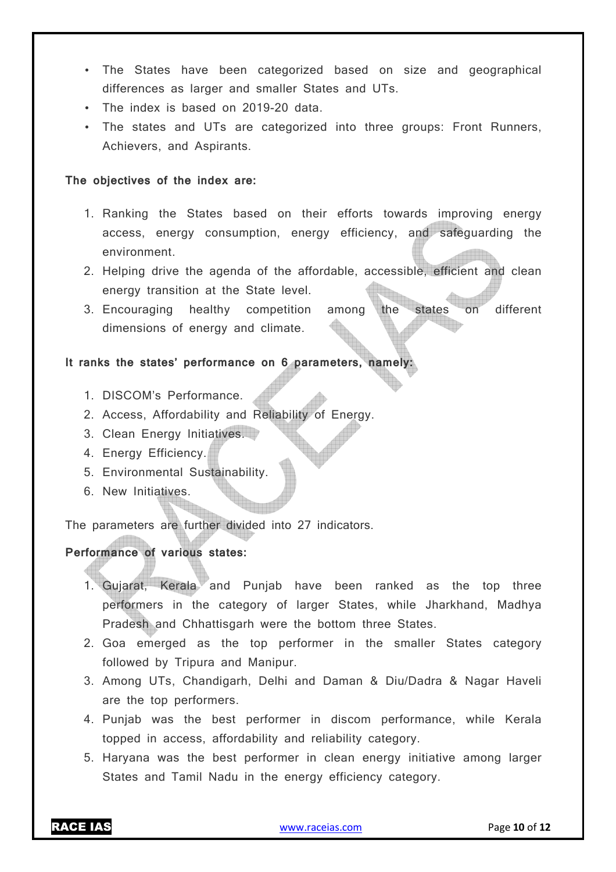- The States have been categorized based on size and geographical differences as larger and smaller States and UTs.
- The index is based on 2019-20 data.
- The states and UTs are categorized into three groups: Front Runners, Achievers, and Aspirants.

### **The objectives of the index are:**

- 1. Ranking the States based on their efforts towards improving energy access, energy consumption, energy efficiency, and safeguarding the environment.
- 2. Helping drive the agenda of the affordable, accessible, efficient and clean energy transition at the State level.
- 3. Encouraging healthy competition among the states on different dimensions of energy and climate.

# It ranks the states' performance on 6 parameters, namely

- 1. DISCOM's Performance.
- 2. Access, Affordability and Reliability of Energy.
- 3. Clean Energy Initiatives.
- 4. Energy Efficiency.
- 5. Environmental Sustainability.
- 6. New Initiatives.

The parameters are further divided into 27 indicators.

# **Performance of various states:**

- 1. Gujarat, Kerala and Punjab have been ranked as the top three performers in the category of larger States, while Jharkhand, Madhya Pradesh and Chhattisgarh were the bottom three States.
- 2. Goa emerged as the top performer in the smaller States category followed by Tripura and Manipur.
- 3. Among UTs, Chandigarh, Delhi and Daman & Diu/Dadra & Nagar Haveli are the top performers.
- 4. Punjab was the best performer in discom performance, while Kerala topped in access, affordability and reliability category.
- 5. Haryana was the best performer in clean energy initiative among larger States and Tamil Nadu in the energy efficiency category.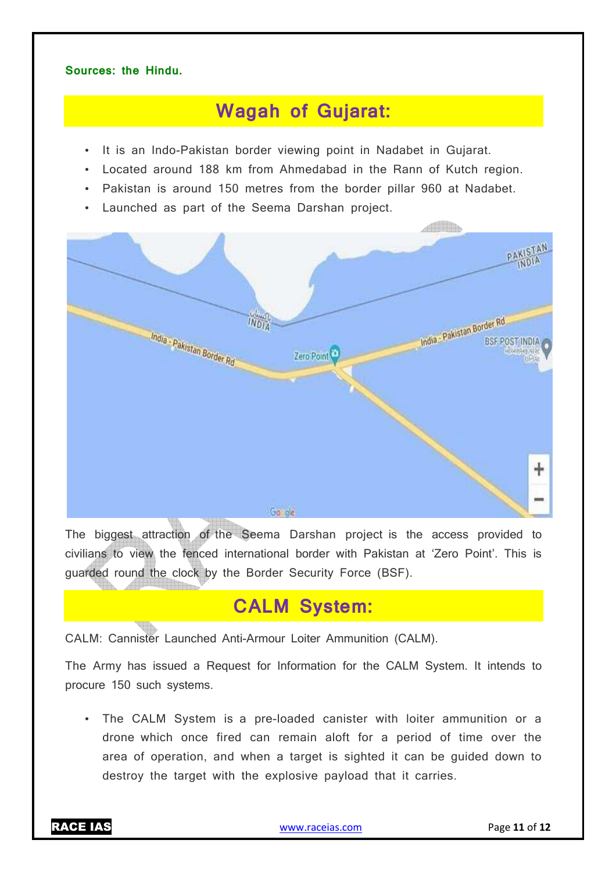### **Sources: the Hindu.**

# **Wagah of Gujarat:**

- It is an Indo-Pakistan border viewing point in Nadabet in Gujarat.
- Located around 188 km from Ahmedabad in the Rann of Kutch region.
- Pakistan is around 150 metres from the border pillar 960 at Nadabet.
- Launched as part of the Seema Darshan project.



The biggest attraction of the Seema Darshan project is the access provided to civilians to view the fenced international border with Pakistan at 'Zero Point'. This is guarded round the clock by the Border Security Force (BSF).

# **CALM System:**

CALM: Cannister Launched Anti-Armour Loiter Ammunition (CALM).

The Army has issued a Request for Information for the CALM System. It intends to procure 150 such systems.

• The CALM System is a pre-loaded canister with loiter ammunition or a drone which once fired can remain aloft for a period of time over the area of operation, and when a target is sighted it can be guided down to destroy the target with the explosive payload that it carries.